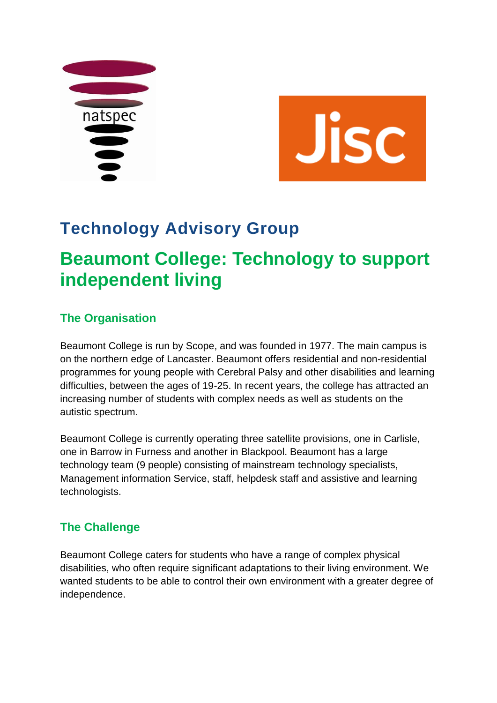



# **Technology Advisory Group**

# **Beaumont College: Technology to support independent living**

## **The Organisation**

Beaumont College is run by Scope, and was founded in 1977. The main campus is on the northern edge of Lancaster. Beaumont offers residential and non-residential programmes for young people with Cerebral Palsy and other disabilities and learning difficulties, between the ages of 19-25. In recent years, the college has attracted an increasing number of students with complex needs as well as students on the autistic spectrum.

Beaumont College is currently operating three satellite provisions, one in Carlisle, one in Barrow in Furness and another in Blackpool. Beaumont has a large technology team (9 people) consisting of mainstream technology specialists, Management information Service, staff, helpdesk staff and assistive and learning technologists.

## **The Challenge**

Beaumont College caters for students who have a range of complex physical disabilities, who often require significant adaptations to their living environment. We wanted students to be able to control their own environment with a greater degree of independence.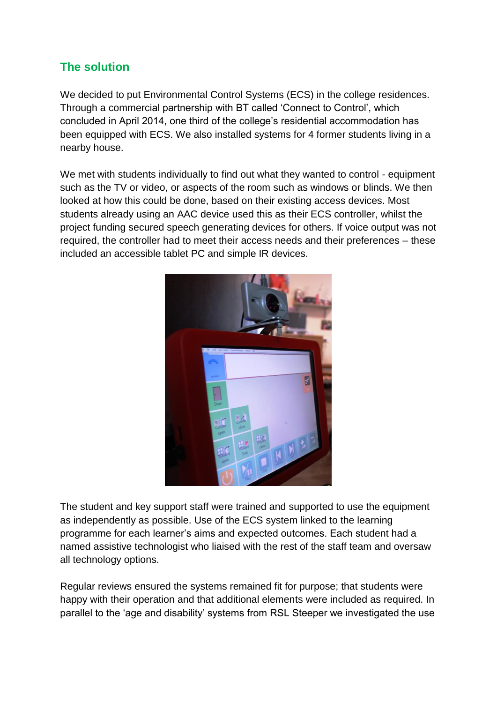#### **The solution**

We decided to put Environmental Control Systems (ECS) in the college residences. Through a commercial partnership with BT called 'Connect to Control', which concluded in April 2014, one third of the college's residential accommodation has been equipped with ECS. We also installed systems for 4 former students living in a nearby house.

We met with students individually to find out what they wanted to control - equipment such as the TV or video, or aspects of the room such as windows or blinds. We then looked at how this could be done, based on their existing access devices. Most students already using an AAC device used this as their ECS controller, whilst the project funding secured speech generating devices for others. If voice output was not required, the controller had to meet their access needs and their preferences – these included an accessible tablet PC and simple IR devices.



The student and key support staff were trained and supported to use the equipment as independently as possible. Use of the ECS system linked to the learning programme for each learner's aims and expected outcomes. Each student had a named assistive technologist who liaised with the rest of the staff team and oversaw all technology options.

Regular reviews ensured the systems remained fit for purpose; that students were happy with their operation and that additional elements were included as required. In parallel to the 'age and disability' systems from RSL Steeper we investigated the use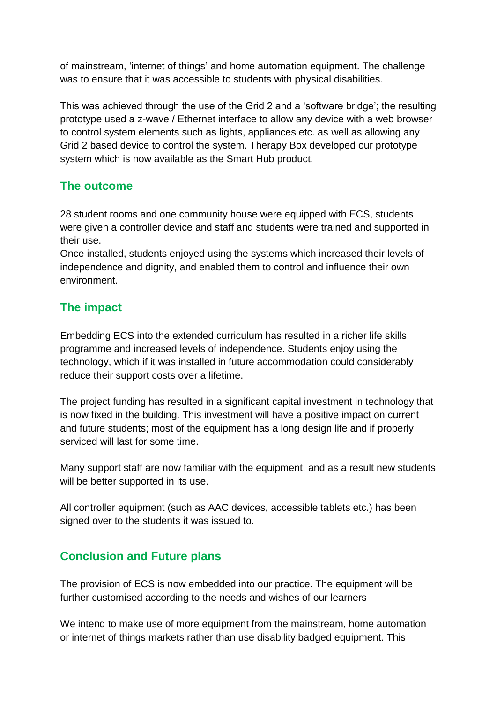of mainstream, 'internet of things' and home automation equipment. The challenge was to ensure that it was accessible to students with physical disabilities.

This was achieved through the use of the Grid 2 and a 'software bridge'; the resulting prototype used a z-wave / Ethernet interface to allow any device with a web browser to control system elements such as lights, appliances etc. as well as allowing any Grid 2 based device to control the system. Therapy Box developed our prototype system which is now available as the Smart Hub product.

#### **The outcome**

28 student rooms and one community house were equipped with ECS, students were given a controller device and staff and students were trained and supported in their use.

Once installed, students enjoyed using the systems which increased their levels of independence and dignity, and enabled them to control and influence their own environment.

#### **The impact**

Embedding ECS into the extended curriculum has resulted in a richer life skills programme and increased levels of independence. Students enjoy using the technology, which if it was installed in future accommodation could considerably reduce their support costs over a lifetime.

The project funding has resulted in a significant capital investment in technology that is now fixed in the building. This investment will have a positive impact on current and future students; most of the equipment has a long design life and if properly serviced will last for some time.

Many support staff are now familiar with the equipment, and as a result new students will be better supported in its use.

All controller equipment (such as AAC devices, accessible tablets etc.) has been signed over to the students it was issued to.

#### **Conclusion and Future plans**

The provision of ECS is now embedded into our practice. The equipment will be further customised according to the needs and wishes of our learners

We intend to make use of more equipment from the mainstream, home automation or internet of things markets rather than use disability badged equipment. This